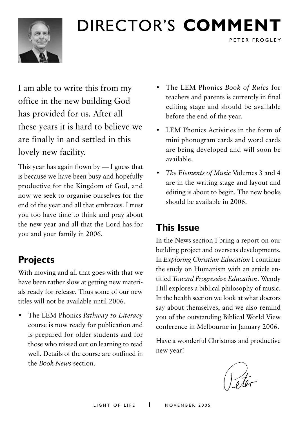

# Director's **comment**

I am able to write this from my office in the new building God has provided for us. After all these years it is hard to believe we are finally in and settled in this lovely new facility.

This year has again flown by — I guess that is because we have been busy and hopefully productive for the Kingdom of God, and now we seek to organise ourselves for the end of the year and all that embraces. I trust you too have time to think and pray about the new year and all that the Lord has for you and your family in 2006.

### **Projects**

With moving and all that goes with that we have been rather slow at getting new materials ready for release. Thus some of our new titles will not be available until 2006.

• The LEM Phonics *Pathway to Literacy*  course is now ready for publication and is prepared for older students and for those who missed out on learning to read well. Details of the course are outlined in the *Book News* section.

• The LEM Phonics *Book of Rules* for teachers and parents is currently in final editing stage and should be available before the end of the year.

PETER FROGLEY

- LEM Phonics Activities in the form of mini phonogram cards and word cards are being developed and will soon be available.
- *The Elements of Music* Volumes 3 and 4 are in the writing stage and layout and editing is about to begin. The new books should be available in 2006.

### **This Issue**

In the News section I bring a report on our building project and overseas developments. In *Exploring Christian Education* I continue the study on Humanism with an article entitled *Toward Progressive Education*. Wendy Hill explores a biblical philosophy of music. In the health section we look at what doctors say about themselves, and we also remind you of the outstanding Biblical World View conference in Melbourne in January 2006.

Have a wonderful Christmas and productive new year!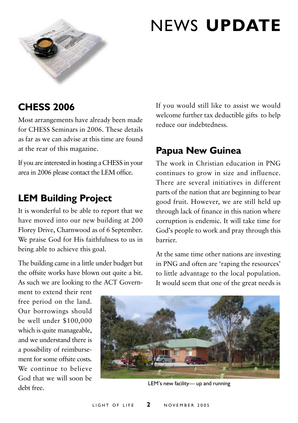

# news **update**

### **CHESS 2006**

Most arrangements have already been made for CHESS Seminars in 2006. These details as far as we can advise at this time are found at the rear of this magazine.

If you are interested in hosting a CHESS in your area in 2006 please contact the LEM office.

### **LEM Building Project**

It is wonderful to be able to report that we have moved into our new building at 200 Florey Drive, Charnwood as of 6 September. We praise God for His faithfulness to us in being able to achieve this goal.

The building came in a little under budget but the offsite works have blown out quite a bit. As such we are looking to the ACT GovernIf you would still like to assist we would welcome further tax deductible gifts to help reduce our indebtedness.

### **Papua New Guinea**

The work in Christian education in PNG continues to grow in size and influence. There are several initiatives in different parts of the nation that are beginning to bear good fruit. However, we are still held up through lack of finance in this nation where corruption is endemic. It will take time for God's people to work and pray through this barrier.

At the same time other nations are investing in PNG and often are 'raping the resources' to little advantage to the local population. It would seem that one of the great needs is

ment to extend their rent free period on the land. Our borrowings should be well under \$100,000 which is quite manageable, and we understand there is a possibility of reimbursement for some offsite costs. We continue to believe God that we will soon be debt free.



LEM's new facility— up and running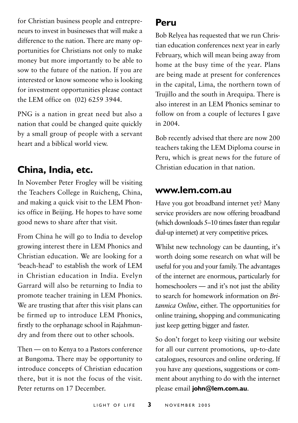for Christian business people and entrepreneurs to invest in businesses that will make a difference to the nation. There are many opportunities for Christians not only to make money but more importantly to be able to sow to the future of the nation. If you are interested or know someone who is looking for investment opportunities please contact the LEM office on (02) 6259 3944.

PNG is a nation in great need but also a nation that could be changed quite quickly by a small group of people with a servant heart and a biblical world view.

### **China, India, etc.**

In November Peter Frogley will be visiting the Teachers College in Ruicheng, China, and making a quick visit to the LEM Phonics office in Beijing. He hopes to have some good news to share after that visit.

From China he will go to India to develop growing interest there in LEM Phonics and Christian education. We are looking for a 'beach-head' to establish the work of LEM in Christian education in India. Evelyn Garrard will also be returning to India to promote teacher training in LEM Phonics. We are trusting that after this visit plans can be firmed up to introduce LEM Phonics, firstly to the orphanage school in Rajahmundry and from there out to other schools.

Then — on to Kenya to a Pastors conference at Bungoma. There may be opportunity to introduce concepts of Christian education there, but it is not the focus of the visit. Peter returns on 17 December.

#### **Peru**

Bob Relyea has requested that we run Christian education conferences next year in early February, which will mean being away from home at the busy time of the year. Plans are being made at present for conferences in the capital, Lima, the northern town of Trujillo and the south in Arequipa. There is also interest in an LEM Phonics seminar to follow on from a couple of lectures I gave in 2004.

Bob recently advised that there are now 200 teachers taking the LEM Diploma course in Peru, which is great news for the future of Christian education in that nation.

#### **www.lem.com.au**

Have you got broadband internet yet? Many service providers are now offering broadband (which downloads 5–10 times faster than regular dial-up internet) at very competitive prices.

Whilst new technology can be daunting, it's worth doing some research on what will be useful for you and your family. The advantages of the internet are enormous, particularly for homeschoolers — and it's not just the ability to search for homework information on *Britannica Online*, either. The opportunities for online training, shopping and communicating just keep getting bigger and faster.

So don't forget to keep visiting our website for all our current promotions, up-to-date catalogues, resources and online ordering. If you have any questions, suggestions or comment about anything to do with the internet please email **john@lem.com.au**.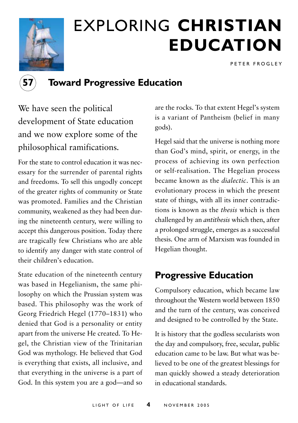

# exploring **christian education**

P E T E R F R O G L E Y



#### **57 Toward Progressive Education**

We have seen the political development of State education and we now explore some of the philosophical ramifications.

For the state to control education it was necessary for the surrender of parental rights and freedoms. To sell this ungodly concept of the greater rights of community or State was promoted. Families and the Christian community, weakened as they had been during the nineteenth century, were willing to accept this dangerous position. Today there are tragically few Christians who are able to identify any danger with state control of their children's education.

State education of the nineteenth century was based in Hegelianism, the same philosophy on which the Prussian system was based. This philosophy was the work of Georg Friedrich Hegel (1770–1831) who denied that God is a personality or entity apart from the universe He created. To Hegel, the Christian view of the Trinitarian God was mythology. He believed that God is everything that exists, all inclusive, and that everything in the universe is a part of God. In this system you are a god—and so are the rocks. To that extent Hegel's system is a variant of Pantheism (belief in many gods).

Hegel said that the universe is nothing more than God's mind, spirit, or energy, in the process of achieving its own perfection or self-realisation. The Hegelian process became known as the *dialectic*. This is an evolutionary process in which the present state of things, with all its inner contradictions is known as the *thesis* which is then challenged by an *antithesis* which then, after a prolonged struggle, emerges as a successful thesis. One arm of Marxism was founded in Hegelian thought.

#### **Progressive Education**

Compulsory education, which became law throughout the Western world between 1850 and the turn of the century, was conceived and designed to be controlled by the State.

It is history that the godless secularists won the day and compulsory, free, secular, public education came to be law. But what was believed to be one of the greatest blessings for man quickly showed a steady deterioration in educational standards.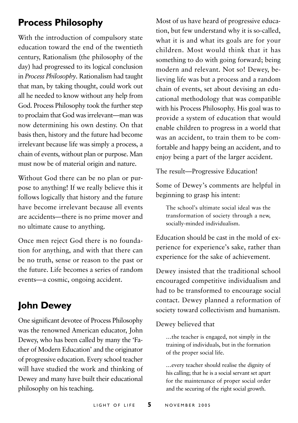### **Process Philosophy**

With the introduction of compulsory state education toward the end of the twentieth century, Rationalism (the philosophy of the day) had progressed to its logical conclusion in *Process Philosophy*. Rationalism had taught that man, by taking thought, could work out all he needed to know without any help from God. Process Philosophy took the further step to proclaim that God was irrelevant—man was now determining his own destiny. On that basis then, history and the future had become irrelevant because life was simply a process, a chain of events, without plan or purpose. Man must now be of material origin and nature.

Without God there can be no plan or purpose to anything! If we really believe this it follows logically that history and the future have become irrelevant because all events are accidents—there is no prime mover and no ultimate cause to anything.

Once men reject God there is no foundation for anything, and with that there can be no truth, sense or reason to the past or the future. Life becomes a series of random events—a cosmic, ongoing accident.

### **John Dewey**

One significant devotee of Process Philosophy was the renowned American educator, John Dewey, who has been called by many the 'Father of Modern Education' and the originator of progressive education. Every school teacher will have studied the work and thinking of Dewey and many have built their educational philosophy on his teaching.

Most of us have heard of progressive education, but few understand why it is so-called, what it is and what its goals are for your children. Most would think that it has something to do with going forward; being modern and relevant. Not so! Dewey, believing life was but a process and a random chain of events, set about devising an educational methodology that was compatible with his Process Philosophy. His goal was to provide a system of education that would enable children to progress in a world that was an accident, to train them to be comfortable and happy being an accident, and to enjoy being a part of the larger accident.

The result—Progressive Education!

Some of Dewey's comments are helpful in beginning to grasp his intent:

The school's ultimate social ideal was the transformation of society through a new, socially-minded individualism.

Education should be cast in the mold of experience for experience's sake, rather than experience for the sake of achievement.

Dewey insisted that the traditional school encouraged competitive individualism and had to be transformed to encourage social contact. Dewey planned a reformation of society toward collectivism and humanism.

#### Dewey believed that

…the teacher is engaged, not simply in the training of individuals, but in the formation of the proper social life.

…every teacher should realise the dignity of his calling; that he is a social servant set apart for the maintenance of proper social order and the securing of the right social growth.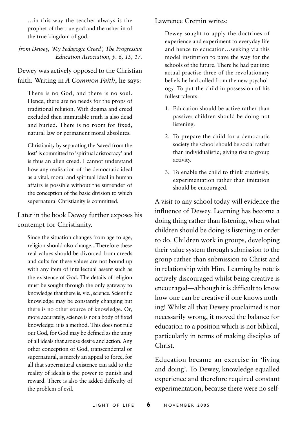…in this way the teacher always is the prophet of the true god and the usher in of the true kingdom of god.

*from Dewey, 'My Pedagogic Creed', The Progressive Education Association, p. 6, 15, 17.*

#### Dewey was actively opposed to the Christian faith. Writing in *A Common Faith*, he says:

There is no God, and there is no soul. Hence, there are no needs for the props of traditional religion. With dogma and creed excluded then immutable truth is also dead and buried. There is no room for fixed, natural law or permanent moral absolutes.

Christianity by separating the 'saved from the lost' is committed to 'spiritual aristocracy' and is thus an alien creed. I cannot understand how any realisation of the democratic ideal as a vital, moral and spiritual ideal in human affairs is possible without the surrender of the conception of the basic division to which supernatural Christianity is committed.

Later in the book Dewey further exposes his contempt for Christianity.

Since the situation changes from age to age, religion should also change...Therefore these real values should be divorced from creeds and cults for these values are not bound up with any item of intellectual assent such as the existence of God. The details of religion must be sought through the only gateway to knowledge that there is, viz., science. Scientific knowledge may be constantly changing but there is no other source of knowledge. Or, more accurately, science is not a body of fixed knowledge: it is a method. This does not rule out God, for God may be defined as the unity of all ideals that arouse desire and action. Any other conception of God, transcendental or supernatural, is merely an appeal to force, for all that supernatural existence can add to the reality of ideals is the power to punish and reward. There is also the added difficulty of the problem of evil.

Lawrence Cremin writes:

Dewey sought to apply the doctrines of experience and experiment to everyday life and hence to education…seeking via this model institution to pave the way for the schools of the future. There he had put into actual practise three of the revolutionary beliefs he had culled from the new psychology. To put the child in possession of his fullest talents:

- 1. Education should be active rather than passive; children should be doing not listening.
- 2. To prepare the child for a democratic society the school should be social rather than individualistic; giving rise to group activity.
- 3. To enable the child to think creatively, experimentation rather than imitation should be encouraged.

A visit to any school today will evidence the influence of Dewey. Learning has become a doing thing rather than listening, when what children should be doing is listening in order to do. Children work in groups, developing their value system through submission to the group rather than submission to Christ and in relationship with Him. Learning by rote is actively discouraged whilst being creative is encouraged—although it is difficult to know how one can be creative if one knows nothing! Whilst all that Dewey proclaimed is not necessarily wrong, it moved the balance for education to a position which is not biblical, particularly in terms of making disciples of Christ.

Education became an exercise in 'living and doing'. To Dewey, knowledge equalled experience and therefore required constant experimentation, because there were no self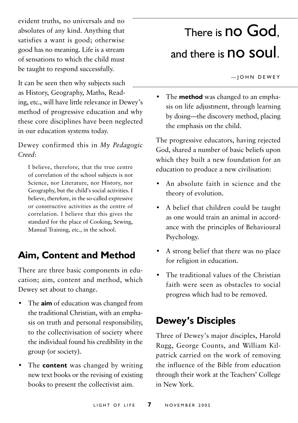evident truths, no universals and no absolutes of any kind. Anything that satisfies a want is good; otherwise good has no meaning. Life is a stream of sensations to which the child must be taught to respond successfully.

It can be seen then why subjects such as History, Geography, Maths, Reading, etc., will have little relevance in Dewey's method of progressive education and why these core disciplines have been neglected in our education systems today.

Dewey confirmed this in *My Pedagogic Creed*:

I believe, therefore, that the true centre of correlation of the school subjects is not Science, nor Literature, nor History, nor Geography, but the child's social activities. I believe, therefore, in the so-called expressive or constructive activities as the centre of correlation. I believe that this gives the standard for the place of Cooking, Sewing, Manual Training, etc., in the school.

#### **Aim, Content and Method**

There are three basic components in education; aim, content and method, which Dewey set about to change.

- The **aim** of education was changed from the traditional Christian, with an emphasis on truth and personal responsibility, to the collectivisation of society where the individual found his credibility in the group (or society).
- The **content** was changed by writing new text books or the revising of existing books to present the collectivist aim.

# There is **no God**, and there is **no soul**.

 $|$  OHN DEWEY

• The **method** was changed to an emphasis on life adjustment, through learning by doing—the discovery method, placing the emphasis on the child.

The progressive educators, having rejected God, shared a number of basic beliefs upon which they built a new foundation for an education to produce a new civilisation:

- An absolute faith in science and the theory of evolution.
- A belief that children could be taught as one would train an animal in accordance with the principles of Behavioural Psychology.
- A strong belief that there was no place for religion in education.
- The traditional values of the Christian faith were seen as obstacles to social progress which had to be removed.

### **Dewey's Disciples**

Three of Dewey's major disciples, Harold Rugg, George Counts, and William Kilpatrick carried on the work of removing the influence of the Bible from education through their work at the Teachers' College in New York.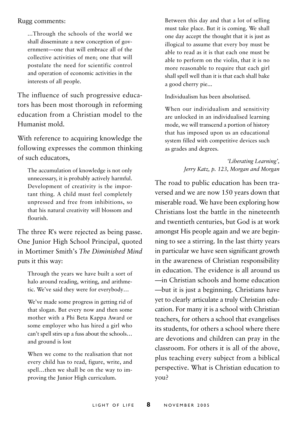#### Rugg comments:

...Through the schools of the world we shall disseminate a new conception of government—one that will embrace all of the collective activities of men; one that will postulate the need for scientific control and operation of economic activities in the interests of all people.

The influence of such progressive educators has been most thorough in reforming education from a Christian model to the Humanist mold.

With reference to acquiring knowledge the following expresses the common thinking of such educators,

The accumulation of knowledge is not only unnecessary, it is probably actively harmful. Development of creativity is the important thing. A child must feel completely unpressed and free from inhibitions, so that his natural creativity will blossom and flourish.

The three R's were rejected as being passe. One Junior High School Principal, quoted in Mortimer Smith's *The Diminished Mind*  puts it this way:

Through the years we have built a sort of halo around reading, writing, and arithmetic. We've said they were for everybody…

We've made some progress in getting rid of that slogan. But every now and then some mother with a Phi Beta Kappa Award or some employer who has hired a girl who can't spell stirs up a fuss about the schools… and ground is lost

When we come to the realisation that not every child has to read, figure, write, and spell…then we shall be on the way to improving the Junior High curriculum.

Between this day and that a lot of selling must take place. But it is coming. We shall one day accept the thought that it is just as illogical to assume that every boy must be able to read as it is that each one must be able to perform on the violin, that it is no more reasonable to require that each girl shall spell well than it is that each shall bake a good cherry pie...

Individualism has been absolutised.

When our individualism and sensitivity are unlocked in an individualised learning mode, we will transcend a portion of history that has imposed upon us an educational system filled with competitive devices such as grades and degrees.

> *'Liberating Learning', Jerry Katz, p. 123, Morgan and Morgan*

The road to public education has been traversed and we are now 150 years down that miserable road. We have been exploring how Christians lost the battle in the nineteenth and twentieth centuries, but God is at work amongst His people again and we are beginning to see a stirring. In the last thirty years in particular we have seen significant growth in the awareness of Christian responsibility in education. The evidence is all around us —in Christian schools and home education —but it is just a beginning. Christians have yet to clearly articulate a truly Christian education. For many it is a school with Christian teachers, for others a school that evangelises its students, for others a school where there are devotions and children can pray in the classroom. For others it is all of the above, plus teaching every subject from a biblical perspective. What is Christian education to you?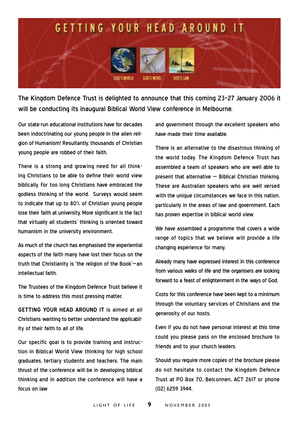

The Kingdom Defence Trust is delighted to announce that this coming 23–27 January 2006 it will be conducting its inaugural Biblical World View conference in Melbourne.

Our state-run educational institutions have for decades been indoctrinating our young people in the alien religion of Humanism! Resultantly, thousands of Christian young people are robbed of their faith.

There is a strong and growing need for all thinking Christians to be able to define their world view biblically. For too long Christians have embraced the godless thinking of the world. Surveys would seem to indicate that up to 80% of Christian young people lose their faith at university. More significant is the fact that virtually all students' thinking is oriented toward humanism in the university environment.

As much of the church has emphasised the experiential aspects of the faith many have lost their focus on the truth that Christianity is 'the religion of the Book'—an intellectual faith.

The Trustees of the Kingdom Defence Trust believe it is time to address this most pressing matter.

**Getting Your Head Around It** is aimed at all Christians wanting to better understand the applicability of their faith to all of life.

Our specific goal is to provide training and instruction in Biblical World View thinking for high school graduates, tertiary students and teachers. The main thrust of the conference will be in developing biblical thinking and in addition the conference will have a focus on law

and government through the excellent speakers who have made their time available.

There is an alternative to the disastrous thinking of the world today. The Kingdom Defence Trust has assembled a team of speakers who are well able to present that alternative — Biblical Christian thinking. These are Australian speakers who are well versed with the unique circumstances we face in this nation. particularly in the areas of law and government. Each has proven expertise in biblical world view.

We have assembled a programme that covers a wide range of topics that we believe will provide a life changing experience for many.

Already many have expressed interest in this conference from various walks of life and the organisers are looking forward to a feast of enlightenment in the ways of God.

Costs for this conference have been kept to a minimum through the voluntary services of Christians and the generosity of our hosts.

Even if you do not have personal interest at this time could you please pass on the enclosed brochure to friends and to your church leaders.

Should you require more copies of the brochure please do not hesitate to contact the Kingdom Defence Trust at PO Box 70, Belconnen, ACT 2617 or phone (02) 6259 3944.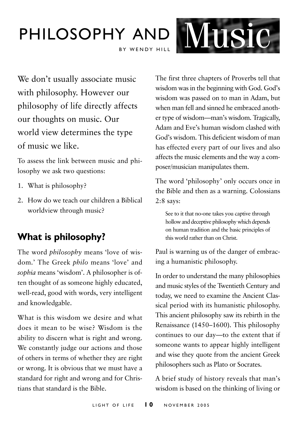### Philosophy and BY WENDY HILL Music

We don't usually associate music with philosophy. However our philosophy of life directly affects our thoughts on music. Our world view determines the type of music we like.

To assess the link between music and philosophy we ask two questions:

- 1. What is philosophy?
- 2. How do we teach our children a Biblical worldview through music?

### **What is philosophy?**

The word *philosophy* means 'love of wisdom.' The Greek *philo* means 'love' and *sophia* means 'wisdom'. A philosopher is often thought of as someone highly educated, well-read, good with words, very intelligent and knowledgable.

What is this wisdom we desire and what does it mean to be wise? Wisdom is the ability to discern what is right and wrong. We constantly judge our actions and those of others in terms of whether they are right or wrong. It is obvious that we must have a standard for right and wrong and for Christians that standard is the Bible.

The first three chapters of Proverbs tell that wisdom was in the beginning with God. God's wisdom was passed on to man in Adam, but when man fell and sinned he embraced another type of wisdom—man's wisdom. Tragically, Adam and Eve's human wisdom clashed with God's wisdom. This deficient wisdom of man has effected every part of our lives and also affects the music elements and the way a composer/musician manipulates them.

The word 'philosophy' only occurs once in the Bible and then as a warning. Colossians 2:8 says:

See to it that no-one takes you captive through hollow and deceptive philosophy which depends on human tradition and the basic principles of this world rather than on Christ.

Paul is warning us of the danger of embracing a humanistic philosophy.

In order to understand the many philosophies and music styles of the Twentieth Century and today, we need to examine the Ancient Classical period with its humanistic philosophy. This ancient philosophy saw its rebirth in the Renaissance (1450–1600). This philosophy continues to our day—to the extent that if someone wants to appear highly intelligent and wise they quote from the ancient Greek philosophers such as Plato or Socrates.

A brief study of history reveals that man's wisdom is based on the thinking of living or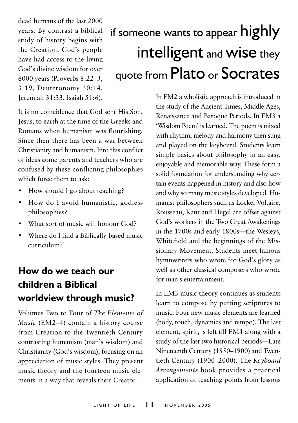dead humans of the last 2000 years. By contrast a biblical study of history begins with the Creation. God's people have had access to the living God's divine wisdom for over 6000 years (Proverbs 8:22–3, 3:19, Deuteronomy 30:14, Jeremiah 31:33, Isaiah 51:6).

# if someone wants to appear highly intelligent and wise they quote from Plato or Socrates

It is no coincidence that God sent His Son, Jesus, to earth at the time of the Greeks and Romans when humanism was flourishing. Since then there has been a war between Christianity and humanism. Into this conflict of ideas come parents and teachers who are confused by these conflicting philosophies which force them to ask:

- How should I go about teaching?
- How do I avoid humanistic, godless philosophies?
- What sort of music will honour God?
- Where do I find a Biblically-based music curriculum?'

### **How do we teach our children a Biblical worldview through music?**

Volumes Two to Four of *The Elements of Music* (EM2–4) contain a history course from Creation to the Twentieth Century contrasting humanism (man's wisdom) and Christianity (God's wisdom), focusing on an appreciation of music styles. They present music theory and the fourteen music elements in a way that reveals their Creator.

In EM2 a wholistic approach is introduced in the study of the Ancient Times, Middle Ages, Renaissance and Baroque Periods. In EM3 a 'Wisdom Poem' is learned. The poem is mixed with rhythm, melody and harmony then sung and played on the keyboard. Students learn simple basics about philosophy in an easy, enjoyable and memorable way. These form a solid foundation for understanding why certain events happened in history and also how and why so many music styles developed. Humanist philosophers such as Locke, Voltaire, Rousseau, Kant and Hegel are offset against God's workers in the Two Great Awakenings in the 1700s and early 1800s—the Wesleys, Whitefield and the beginnings of the Missionary Movement. Students meet famous hymnwriters who wrote for God's glory as well as other classical composers who wrote for man's entertainment.

In EM3 music theory continues as students learn to compose by putting scriptures to music. Four new music elements are learned (body, touch, dynamics and tempo). The last element, spirit, is left till EM4 along with a study of the last two historical periods—Late Nineteenth Century (1850–1900) and Twentieth Century (1900–2000). The *Keyboard Arrangements* book provides a practical application of teaching points from lessons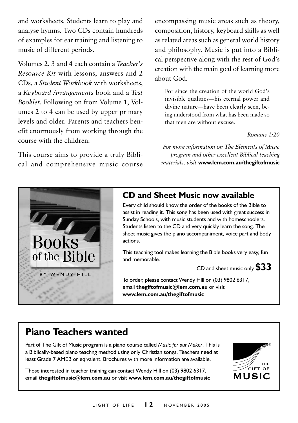and worksheets. Students learn to play and analyse hymns. Two CDs contain hundreds of examples for ear training and listening to music of different periods.

Volumes 2, 3 and 4 each contain a *Teacher's Resource Kit* with lessons, answers and 2 CDs, a *Student Workbook* with worksheets, a *Keyboard Arrangements* book and a *Test Booklet*. Following on from Volume 1, Volumes 2 to 4 can be used by upper primary levels and older. Parents and teachers benefit enormously from working through the course with the children.

This course aims to provide a truly Biblical and comprehensive music course encompassing music areas such as theory, composition, history, keyboard skills as well as related areas such as general world history and philosophy. Music is put into a Biblical perspective along with the rest of God's creation with the main goal of learning more about God.

For since the creation of the world God's invisible qualities—his eternal power and divine nature—have been clearly seen, being understood from what has been made so that men are without excuse.

#### *Romans 1:20*

*For more information on The Elements of Music program and other excellent Biblical teaching materials, visit* **www.lem.com.au/thegiftofmusic**



#### **CD and Sheet Music now available**

Every child should know the order of the books of the Bible to assist in reading it. This song has been used with great success in Sunday Schools, with music students and with homeschoolers. Students listen to the CD and very quickly learn the song. The sheet music gives the piano accompaniment, voice part and body actions.

This teaching tool makes learning the Bible books very easy, fun and memorable.

CD and sheet music only **\$33**

To order, please contact Wendy Hill on (03) 9802 6317, email **thegiftofmusic@lem.com.au** or visit **www.lem.com.au/thegiftofmusic**

#### **Piano Teachers wanted**

Part of The Gift of Music program is a piano course called *Music for our Maker*. This is a Biblically-based piano teachng method using only Christian songs. Teachers need at least Grade 7 AMEB or eqivalent. Brochures with more information are available.

Those interested in teacher training can contact Wendy Hill on (03) 9802 6317, email **thegiftofmusic@lem.com.au** or visit **www.lem.com.au/thegiftofmusic**

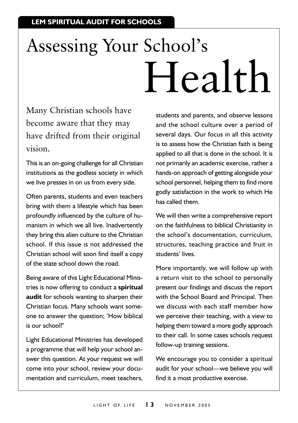# Assessing Your School's Health

Many Christian schools have become aware that they may have drifted from their original vision.

This is an on-going challenge for all Christian institutions as the godless society in which we live presses in on us from every side.

Often parents, students and even teachers bring with them a lifestyle which has been profoundly influenced by the culture of humanism in which we all live. Inadvertently they bring this alien culture to the Christian school. If this issue is not addressed the Christian school will soon find itself a copy of the state school down the road.

Being aware of this Light Educational Ministries is now offering to conduct a **spiritual audit** for schools wanting to sharpen their Christian focus. Many schools want someone to answer the question; 'How biblical is our school?'

Light Educational Ministries has developed a programme that will help your school answer this question. At your request we will come into your school, review your documentation and curriculum, meet teachers,

students and parents, and observe lessons and the school culture over a period of several days. Our focus in all this activity is to assess how the Christian faith is being applied to all that is done in the school. It is not primarily an academic exercise, rather a hands-on approach of getting alongside your school personnel, helping them to find more godly satisfaction in the work to which He has called them.

We will then write a comprehensive report on the faithfulness to biblical Christianity in the school's documentation, curriculum, structures, teaching practice and fruit in students' lives.

More importantly, we will follow up with a return visit to the school to personally present our findings and discuss the report with the School Board and Principal. Then we discuss with each staff member how we perceive their teaching, with a view to helping them toward a more godly approach to their call. In some cases schools request follow-up training sessions.

We encourage you to consider a spiritual audit for your school—we believe you will find it a most productive exercise.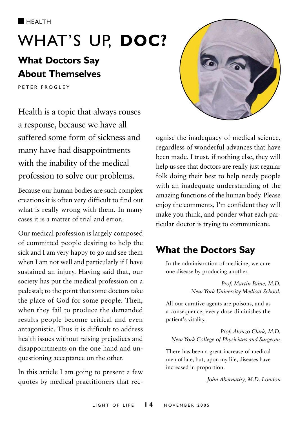

# WHAT'S UP, DOC?

### **What Doctors Say About Themselves**

P E T E R E R O G L E Y

Health is a topic that always rouses a response, because we have all suffered some form of sickness and many have had disappointments with the inability of the medical profession to solve our problems.

Because our human bodies are such complex creations it is often very difficult to find out what is really wrong with them. In many cases it is a matter of trial and error.

Our medical profession is largely composed of committed people desiring to help the sick and I am very happy to go and see them when I am not well and particularly if I have sustained an injury. Having said that, our society has put the medical profession on a pedestal; to the point that some doctors take the place of God for some people. Then, when they fail to produce the demanded results people become critical and even antagonistic. Thus it is difficult to address health issues without raising prejudices and disappointments on the one hand and unquestioning acceptance on the other.

In this article I am going to present a few quotes by medical practitioners that rec-



ognise the inadequacy of medical science, regardless of wonderful advances that have been made. I trust, if nothing else, they will help us see that doctors are really just regular folk doing their best to help needy people with an inadequate understanding of the amazing functions of the human body. Please enjoy the comments, I'm confident they will make you think, and ponder what each particular doctor is trying to communicate.

### **What the Doctors Say**

In the administration of medicine, we cure one disease by producing another.

> *Prof. Martin Paine, M.D. New York University Medical School.*

All our curative agents are poisons, and as a consequence, every dose diminishes the patient's vitality.

*Prof. Alonzo Clark, M.D. New York College of Physicians and Surgeons*

There has been a great increase of medical men of late, but, upon my life, diseases have increased in proportion.

*John Abernathy, M.D. London*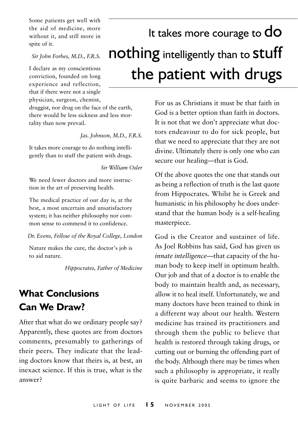Some patients get well with the aid of medicine, more without it, and still more in spite of it.

*Sir John Forbes, M.D., F.R.S.*

I declare as my conscientious conviction, founded on long experience and reflection, that if there were not a single physician, surgeon, chemist,

druggist, nor drug on the face of the earth, there would be less sickness and less mortality than now prevail.

*Jas. Johnson, M.D., F.R.S.*

It takes more courage to do nothing intelligently than to stuff the patient with drugs.

*Sir William Osler*

We need fewer doctors and more instruction in the art of preserving health.

The medical practice of our day is, at the best, a most uncertain and unsatisfactory system; it has neither philosophy nor common sense to commend it to confidence.

*Dr. Evens, Fellow of the Royal College, London*

Nature makes the cure, the doctor's job is to aid nature.

*Hippocrates, Father of Medicine*

### **What Conclusions Can We Draw?**

After that what do we ordinary people say? Apparently, these quotes are from doctors comments, presumably to gatherings of their peers. They indicate that the leading doctors know that theirs is, at best, an inexact science. If this is true, what is the answer?

# It takes more courage to  ${\sf do}$ nothing intelligently than to stuff the patient with drugs

For us as Christians it must be that faith in God is a better option than faith in doctors. It is not that we don't appreciate what doctors endeavour to do for sick people, but that we need to appreciate that they are not divine. Ultimately there is only one who can secure our healing—that is God.

Of the above quotes the one that stands out as being a reflection of truth is the last quote from Hippocrates. Whilst he is Greek and humanistic in his philosophy he does understand that the human body is a self-healing masterpiece.

God is the Creator and sustainer of life. As Joel Robbins has said, God has given us *innate intelligence*—that capacity of the human body to keep itself in optimum health. Our job and that of a doctor is to enable the body to maintain health and, as necessary, allow it to heal itself. Unfortunately, we and many doctors have been trained to think in a different way about our health. Western medicine has trained its practitioners and through them the public to believe that health is restored through taking drugs, or cutting out or burning the offending part of the body. Although there may be times when such a philosophy is appropriate, it really is quite barbaric and seems to ignore the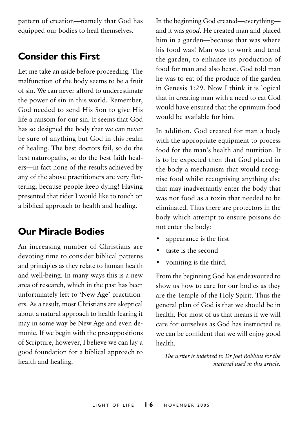pattern of creation—namely that God has equipped our bodies to heal themselves.

#### **Consider this First**

Let me take an aside before proceeding. The malfunction of the body seems to be a fruit of sin. We can never afford to underestimate the power of sin in this world. Remember, God needed to send His Son to give His life a ransom for our sin. It seems that God has so designed the body that we can never be sure of anything but God in this realm of healing. The best doctors fail, so do the best naturopaths, so do the best faith healers—in fact none of the results achieved by any of the above practitioners are very flattering, because people keep dying! Having presented that rider I would like to touch on a biblical approach to health and healing.

#### **Our Miracle Bodies**

An increasing number of Christians are devoting time to consider biblical patterns and principles as they relate to human health and well-being. In many ways this is a new area of research, which in the past has been unfortunately left to 'New Age' practitioners. As a result, most Christians are skeptical about a natural approach to health fearing it may in some way be New Age and even demonic. If we begin with the presuppositions of Scripture, however, I believe we can lay a good foundation for a biblical approach to health and healing.

In the beginning God created—everything and it was *good*. He created man and placed him in a garden—because that was where his food was! Man was to work and tend the garden, to enhance its production of food for man and also beast. God told man he was to eat of the produce of the garden in Genesis 1:29. Now I think it is logical that in creating man with a need to eat God would have ensured that the optimum food would be available for him.

In addition, God created for man a body with the appropriate equipment to process food for the man's health and nutrition. It is to be expected then that God placed in the body a mechanism that would recognise food whilst recognising anything else that may inadvertantly enter the body that was not food as a toxin that needed to be eliminated. Thus there are protectors in the body which attempt to ensure poisons do not enter the body:

- appearance is the first
- taste is the second
- vomiting is the third.

From the beginning God has endeavoured to show us how to care for our bodies as they are the Temple of the Holy Spirit. Thus the general plan of God is that we should be in health. For most of us that means if we will care for ourselves as God has instructed us we can be confident that we will enjoy good health.

*The writer is indebted to Dr Joel Robbins for the material used in this article.*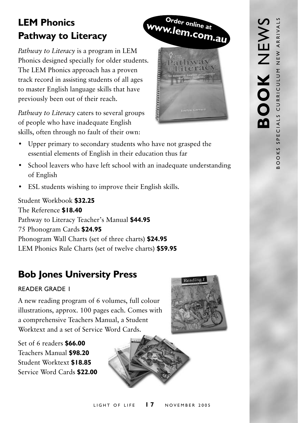### **LEM Phonics Pathway to Literacy**

*Pathway to Literacy* is a program in LEM Phonics designed specially for older students. The LEM Phonics approach has a proven track record in assisting students of all ages to master English language skills that have previously been out of their reach.

*Pathway to Literacy* caters to several groups of people who have inadequate English skills, often through no fault of their own:



- School leavers who have left school with an inadequate understanding of English
- ESL students wishing to improve their English skills.

Student Workbook **\$32.25** The Reference **\$18.40** Pathway to Literacy Teacher's Manual **\$44.95** 75 Phonogram Cards **\$24.95** Phonogram Wall Charts (set of three charts) **\$24.95** LEM Phonics Rule Charts (set of twelve charts) **\$59.95**

### **Bob Jones University Press**

#### Reader Grade 1

A new reading program of 6 volumes, full colour illustrations, approx. 100 pages each. Comes with a comprehensive Teachers Manual, a Student Worktext and a set of Service Word Cards.

Set of 6 readers **\$66.00** Teachers Manual **\$98.20** Student Worktext **\$18.85** Service Word Cards **\$22.00**





#### LIGHT OF LIFE **17** NOVEMBER 2005



**Order online at www.lem.com.au**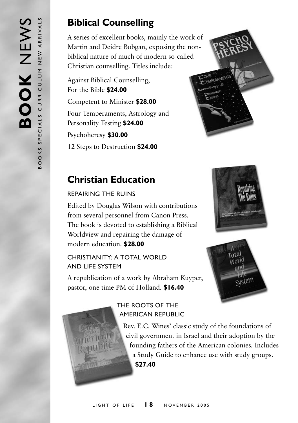### **Biblical Counselling**

A series of excellent books, mainly the work of Martin and Deidre Bobgan, exposing the nonbiblical nature of much of modern so-called Christian counselling. Titles include:

Against Biblical Counselling, For the Bible **\$24.00** Competent to Minister **\$28.00** Four Temperaments, Astrology and Personality Testing **\$24.00** Psychoheresy **\$30.00** 12 Steps to Destruction **\$24.00**



### **Christian Education**

#### Repairing the Ruins

Edited by Douglas Wilson with contributions from several personnel from Canon Press. The book is devoted to establishing a Biblical Worldview and repairing the damage of modern education. **\$28.00**

#### CHRISTIANITY: A TOTAL WORLD and Life System

A republication of a work by Abraham Kuyper, pastor, one time PM of Holland. **\$16.40**





#### The Roots of the American Republic

Rev. E.C. Wines' classic study of the foundations of civil government in Israel and their adoption by the founding fathers of the American colonies. Includes a Study Guide to enhance use with study groups. **\$27.40**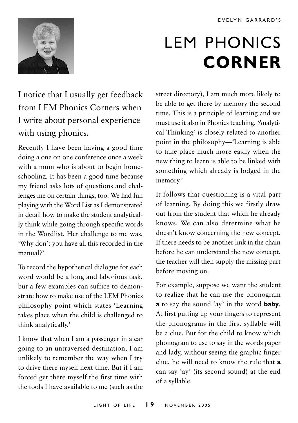

# LEM PHONICS **corner**

I notice that I usually get feedback from LEM Phonics Corners when I write about personal experience with using phonics.

Recently I have been having a good time doing a one on one conference once a week with a mum who is about to begin homeschooling. It has been a good time because my friend asks lots of questions and challenges me on certain things, too. We had fun playing with the Word List as I demonstrated in detail how to make the student analytically think while going through specific words in the Wordlist. Her challenge to me was, 'Why don't you have all this recorded in the manual?'

To record the hypothetical dialogue for each word would be a long and laborious task, but a few examples can suffice to demonstrate how to make use of the LEM Phonics philosophy point which states 'Learning takes place when the child is challenged to think analytically.'

I know that when I am a passenger in a car going to an untraversed destination, I am unlikely to remember the way when I try to drive there myself next time. But if I am forced get there myself the first time with the tools I have available to me (such as the

street directory), I am much more likely to be able to get there by memory the second time. This is a principle of learning and we must use it also in Phonics teaching. 'Analytical Thinking' is closely related to another point in the philosophy—'Learning is able to take place much more easily when the new thing to learn is able to be linked with something which already is lodged in the memory.'

It follows that questioning is a vital part of learning. By doing this we firstly draw out from the student that which he already knows. We can also determine what he doesn't know concerning the new concept. If there needs to be another link in the chain before he can understand the new concept, the teacher will then supply the missing part before moving on.

For example, suppose we want the student to realize that he can use the phonogram **a** to say the sound 'ay' in the word **baby**. At first putting up your fingers to represent the phonograms in the first syllable will be a clue. But for the child to know which phonogram to use to say in the words paper and lady, without seeing the graphic finger clue, he will need to know the rule that **a** can say 'ay' (its second sound) at the end of a syllable.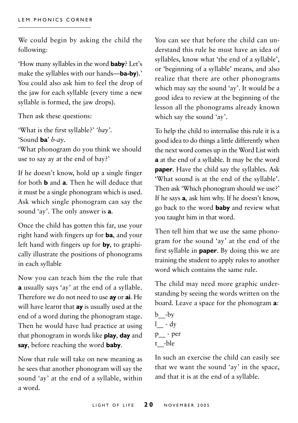We could begin by asking the child the following:

'How many syllables in the word **baby**? Let's make the syllables with our hands—**ba-by**).' You could also ask him to feel the drop of the jaw for each syllable (every time a new syllable is formed, the jaw drops).

Then ask these questions:

'What is the first syllable?' *'bay'*. 'Sound **ba**' *b-ay*. 'What phonogram do you think we should use to say ay at the end of bay?'

If he doesn't know, hold up a single finger for both **b** and **a**. Then he will deduce that it must be a single phonogram which is used. Ask which single phonogram can say the sound 'ay'. The only answer is **a**.

Once the child has gotten this far, use your right hand with fingers up for **ba**, and your left hand with fingers up for **by**, to graphically illustrate the positions of phonograms in each syllable

Now you can teach him the the rule that **a** usually says 'ay' at the end of a syllable. Therefore we do not need to use **ay** or **ai**. He will have learnt that **ay** is usually used at the end of a word during the phonogram stage. Then he would have had practice at using that phonogram in words like **play**, **day** and **say**, before reaching the word **baby**.

Now that rule will take on new meaning as he sees that another phonogram will say the sound 'ay' at the end of a syllable, within a word.

You can see that before the child can understand this rule he must have an idea of syllables, know what 'the end of a syllable', or 'beginning of a syllable' means, and also realize that there are other phonograms which may say the sound 'ay'. It would be a good idea to review at the beginning of the lesson all the phonograms already known which say the sound 'ay'.

To help the child to internalise this rule it is a good idea to do things a little differently when the next word comes up in the Word List with **a** at the end of a syllable. It may be the word **paper**. Have the child say the syllables. Ask 'What sound is at the end of the syllable'. Then ask 'Which phonogram should we use?' If he says **a**, ask him why. If he doesn't know, go back to the word **baby** and review what you taught him in that word.

Then tell him that we use the same phonogram for the sound 'ay' at the end of the first syllable in **paper**. By doing this we are training the student to apply rules to another word which contains the same rule.

The child may need more graphic understanding by seeing the words written on the board. Leave a space for the phonogram **a**:

 $b - by$  $l - dy$ p\_\_ - per t\_\_-ble

In such an exercise the child can easily see that we want the sound 'ay' in the space, and that it is at the end of a syllable.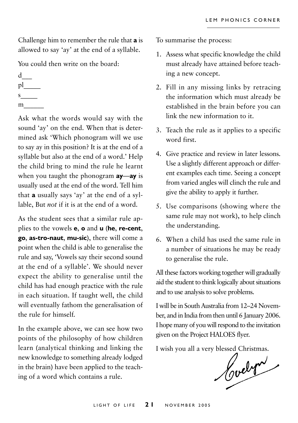Challenge him to remember the rule that **a** is allowed to say 'ay' at the end of a syllable.

You could then write on the board:

- $d_{-}$  $p$ <sup> $\Box$ </sup>  $s$
- m\_\_\_\_\_\_

Ask what the words would say with the sound 'ay' on the end. When that is determined ask 'Which phonogram will we use to say ay in this position? It is at the end of a syllable but also at the end of a word.' Help the child bring to mind the rule he learnt when you taught the phonogram **ay**—**ay** is usually used at the end of the word. Tell him that **a** usually says 'ay' at the end of a syllable, But *not* if it is at the end of a word.

As the student sees that a similar rule applies to the vowels **e**, **o** and **u** (**he**, **re-cent**, **go**, **as-tro-naut**, **mu-sic**), there will come a point when the child is able to generalise the rule and say, 'Vowels say their second sound at the end of a syllable'. We should never expect the ability to generalise until the child has had enough practice with the rule in each situation. If taught well, the child will eventually fathom the generalisation of the rule for himself.

In the example above, we can see how two points of the philosophy of how children learn (analytical thinking and linking the new knowledge to something already lodged in the brain) have been applied to the teaching of a word which contains a rule.

To summarise the process:

- 1. Assess what specific knowledge the child must already have attained before teaching a new concept.
- 2. Fill in any missing links by retracing the information which must already be established in the brain before you can link the new information to it.
- 3. Teach the rule as it applies to a specific word first.
- 4. Give practice and review in later lessons. Use a slightly different approach or different examples each time. Seeing a concept from varied angles will clinch the rule and give the ability to apply it further.
- 5. Use comparisons (showing where the same rule may not work), to help clinch the understanding.
- 6. When a child has used the same rule in a number of situations he may be ready to generalise the rule.

All these factors working together will gradually aid the student to think logically about situations and to use analysis to solve problems.

I will be in South Australia from 12–24 November, and in India from then until 6 January 2006. I hope many of you will respond to the invitation given on the Project HALOES flyer.

I wish you all a very blessed Christmas.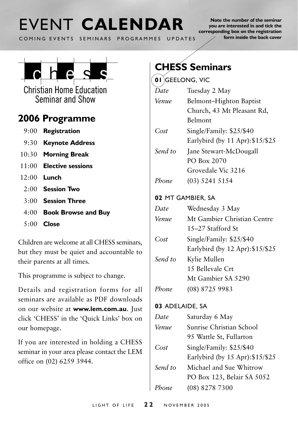### **FVENT CALENDAR** COMING EVENTS SEMINARS PROGRAMMES UPDATES

**Note the number of the seminar you are interested in and tick the corresponding box on the registration form inside the back cover**



**Christian Home Education** Seminar and Show

### **2006 Programme**

- 9:00 **Registration**
- 9:30 **Keynote Address**
- 10:30 **Morning Break**
- 11:00 **Elective sessions**
- 12:00 **Lunch**
	- 2:00 **Session Two**
	- 3:00 **Session Three**
	- 4:00 **Book Browse and Buy**
	- 5:00 **Close**

Children are welcome at all CHESS seminars, but they must be quiet and accountable to their parents at all times.

This programme is subject to change.

Details and registration forms for all seminars are available as PDF downloads on our website at **www.lem.com.au**. Just click 'CHESS' in the 'Quick Links' box on our homepage.

If you are interested in holding a CHESS seminar in your area please contact the LEM office on (02) 6259 3944.

### **CHESS Seminars**

**01** Geelong, Vic

| Date    | Tuesday 2 May                    |
|---------|----------------------------------|
| Venue   | Belmont-Highton Baptist          |
|         | Church, 43 Mt Pleasant Rd,       |
|         | Belmont                          |
| Cost    | Single/Family: \$25/\$40         |
|         | Earlybird (by 11 Apr): \$15/\$25 |
| Send to | Jane Stewart-McDougall           |
|         | PO Box 2070                      |
|         | Grovedale Vic 3216               |
| Phone   | (03) 5241 5154                   |
|         | 02 MT GAMBIER, SA                |
| Date    | Wednesday 3 May                  |
| Venue   | Mt Gambier Christian Centre      |
|         | 15-27 Stafford St                |
| Cost    | Single/Family: \$25/\$40         |
|         | Earlybird (by 12 Apr): \$15/\$25 |
| Send to | Kylie Mullen                     |
|         | 15 Bellevale Crt                 |
|         | Mt Gambier SA 5290               |
| Phone   | (08) 8725 9983                   |

#### **03** Adelaide, sa

| Date    | Saturday 6 May                   |
|---------|----------------------------------|
| Venue   | Sunrise Christian School         |
|         | 95 Wattle St, Fullarton          |
| Cost    | Single/Family: \$25/\$40         |
|         | Earlybird (by 15 Apr): \$15/\$25 |
| Send to | Michael and Sue Whitrow          |
|         | PO Box 123, Belair SA 5052       |
| Phone   | $(08)$ 8278 7300                 |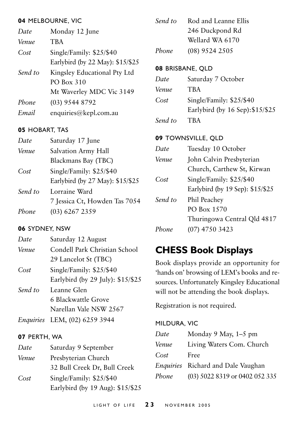#### **04** Melbourne, Vic

| Date    | Monday 12 June                   |
|---------|----------------------------------|
| Venue   | <b>TBA</b>                       |
| Cost    | Single/Family: \$25/\$40         |
|         | Earlybird (by 22 May): \$15/\$25 |
| Send to | Kingsley Educational Pty Ltd     |
|         | <b>PO Box 310</b>                |
|         | Mt Waverley MDC Vic 3149         |
| Phone   | $(03)$ 9544 8792                 |
| Email   | enquiries@kepl.com.au            |
|         |                                  |

#### **05** hobart, tas

| Date    | Saturday 17 June                 |
|---------|----------------------------------|
| Venue   | Salvation Army Hall              |
|         | Blackmans Bay (TBC)              |
| Cost    | Single/Family: \$25/\$40         |
|         | Earlybird (by 27 May): \$15/\$25 |
| Send to | Lorraine Ward                    |
|         | 7 Jessica Ct, Howden Tas 7054    |
| Phone   | $(03)$ 6267 2359                 |

#### **06** Sydney, NSW

| Date    | Saturday 12 August                |
|---------|-----------------------------------|
| Venue   | Condell Park Christian School     |
|         | 29 Lancelot St (TBC)              |
| Cost    | Single/Family: \$25/\$40          |
|         | Earlybird (by 29 July): \$15/\$25 |
| Send to | Leanne Glen                       |
|         | 6 Blackwattle Grove               |
|         | Narellan Vale NSW 2567            |

*Enquiries* LEM, (02) 6259 3944

#### **07** Perth, WA

| Date  | Saturday 9 September             |
|-------|----------------------------------|
| Venue | Presbyterian Church              |
|       | 32 Bull Creek Dr, Bull Creek     |
| Cost  | Single/Family: \$25/\$40         |
|       | Earlybird (by 19 Aug): \$15/\$25 |

| Send to | Rod and Leanne Ellis |
|---------|----------------------|
|         | 246 Duckpond Rd      |
|         | Wellard WA 6170      |
| Phone   | (08) 9524 2505       |

#### **08** Brisbane, QLD

| Date    | Saturday 7 October               |
|---------|----------------------------------|
| Venue   | <b>TBA</b>                       |
| Cost    | Single/Family: \$25/\$40         |
|         | Earlybird (by 16 Sep): \$15/\$25 |
| Send to | <b>TRA</b>                       |

#### **09** Townsville, Qld

| Date    | Tuesday 10 October               |
|---------|----------------------------------|
| Venue   | John Calvin Presbyterian         |
|         | Church, Carthew St, Kirwan       |
| Cost    | Single/Family: \$25/\$40         |
|         | Earlybird (by 19 Sep): \$15/\$25 |
| Send to | Phil Peachey                     |
|         | PO Box 1570                      |
|         | Thuringowa Central Qld 4817      |
| Phone   | $(07)$ 4750 3423                 |
|         |                                  |

### **CHESS Book Displays**

Book displays provide an opportunity for 'hands on' browsing of LEM's books and resources. Unfortunately Kingsley Educational will not be attending the book displays.

Registration is not required.

#### Mildura, Vic

| Date  | Monday 9 May, 1–5 pm               |
|-------|------------------------------------|
| Venue | Living Waters Com. Church          |
| Cost  | Free                               |
|       | Enquiries Richard and Dale Vaughan |
| Phone | (03) 5022 8319 or 0402 052 335     |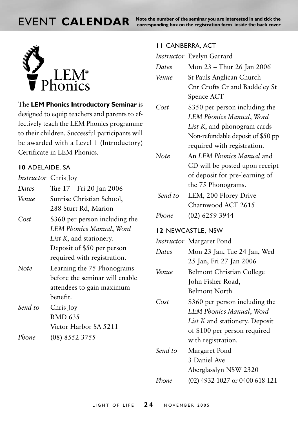**EVENT CALENDAR** Note the number of the seminar you are interested in and tick the **callendar** cover



The **LEM Phonics Introductory Seminar** is designed to equip teachers and parents to effectively teach the LEM Phonics programme to their children. Successful participants will be awarded with a Level 1 (Introductory) Certificate in LEM Phonics.

#### **10** ADELAIDE, SA

*Instructor* Chris Joy

| Dates   | Tue 17 - Fri 20 Jan 2006        |
|---------|---------------------------------|
| Venue   | Sunrise Christian School,       |
|         | 288 Sturt Rd, Marion            |
| Cost    | \$360 per person including the  |
|         | LEM Phonics Manual, Word        |
|         | <i>List K</i> , and stationery. |
|         | Deposit of \$50 per person      |
|         | required with registration.     |
| Note    | Learning the 75 Phonograms      |
|         | before the seminar will enable  |
|         | attendees to gain maximum       |
|         | benefit.                        |
| Send to | Chris Joy                       |
|         | RMD 635                         |
|         | Victor Harbor SA 5211           |
| Phone   | $(08)$ 8552 3755                |

#### **11** Canberra, ACT

|         | Instructor Evelyn Garrard         |
|---------|-----------------------------------|
| Dates   | Mon 23 - Thur 26 Jan 2006         |
| Venue   | St Pauls Anglican Church          |
|         | Cnr Crofts Cr and Baddeley St     |
|         | Spence ACT                        |
| Cost    | \$350 per person including the    |
|         | LEM Phonics Manual, Word          |
|         | List K, and phonogram cards       |
|         | Non-refundable deposit of \$50 pp |
|         | required with registration.       |
| Note    | An LEM Phonics Manual and         |
|         | CD will be posted upon receipt    |
|         | of deposit for pre-learning of    |
|         | the 75 Phonograms.                |
| Send to | LEM, 200 Florey Drive             |
|         | Charnwood ACT 2615                |
| Phone   | (02) 6259 3944                    |
|         | 12 NEWCASTLE, NSW                 |
|         | Instructor Margaret Pond          |
| Dates   | Mon 23 Jan, Tue 24 Jan, Wed       |
|         | 25 Jan, Fri 27 Jan 2006           |
| Venue   | <b>Belmont Christian College</b>  |
|         | John Fisher Road,                 |
|         | <b>Belmont North</b>              |
| Cost    | \$360 per person including the    |
|         | LEM Phonics Manual, Word          |
|         | List K and stationery. Deposit    |
|         | of \$100 per person required      |
|         | with registration.                |
| Send to | Margaret Pond                     |
|         | 3 Daniel Ave                      |
|         | Aberglasslyn NSW 2320             |
|         |                                   |